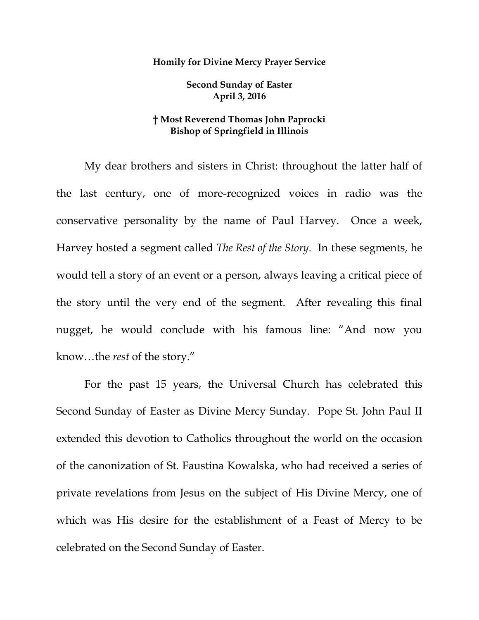## **Homily for Divine Mercy Prayer Service**

**Second Sunday of Easter April 3, 2016**

## **† Most Reverend Thomas John Paprocki Bishop of Springfield in Illinois**

My dear brothers and sisters in Christ: throughout the latter half of the last century, one of more-recognized voices in radio was the conservative personality by the name of Paul Harvey. Once a week, Harvey hosted a segment called *The Rest of the Story*. In these segments, he would tell a story of an event or a person, always leaving a critical piece of the story until the very end of the segment. After revealing this final nugget, he would conclude with his famous line: "And now you know…the *rest* of the story."

For the past 15 years, the Universal Church has celebrated this Second Sunday of Easter as Divine Mercy Sunday. Pope St. John Paul II extended this devotion to Catholics throughout the world on the occasion of the canonization of St. Faustina Kowalska, who had received a series of private revelations from Jesus on the subject of His Divine Mercy, one of which was His desire for the establishment of a Feast of Mercy to be celebrated on the Second Sunday of Easter.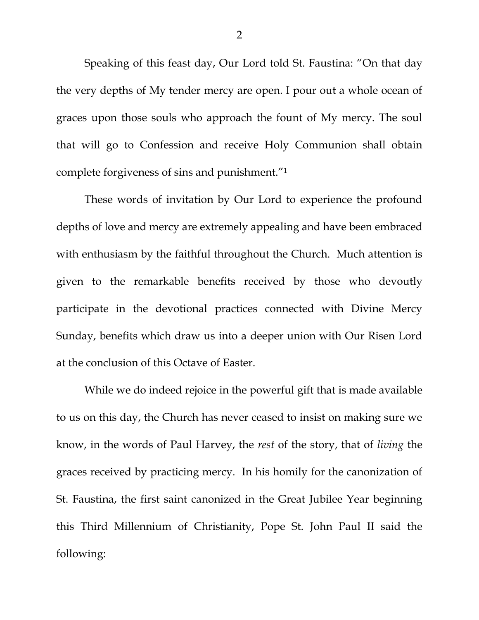Speaking of this feast day, Our Lord told St. Faustina: "On that day the very depths of My tender mercy are open. I pour out a whole ocean of graces upon those souls who approach the fount of My mercy. The soul that will go to Confession and receive Holy Communion shall obtain complete forgiveness of sins and punishment."<sup>1</sup>

These words of invitation by Our Lord to experience the profound depths of love and mercy are extremely appealing and have been embraced with enthusiasm by the faithful throughout the Church. Much attention is given to the remarkable benefits received by those who devoutly participate in the devotional practices connected with Divine Mercy Sunday, benefits which draw us into a deeper union with Our Risen Lord at the conclusion of this Octave of Easter.

While we do indeed rejoice in the powerful gift that is made available to us on this day, the Church has never ceased to insist on making sure we know, in the words of Paul Harvey, the *rest* of the story, that of *living* the graces received by practicing mercy. In his homily for the canonization of St. Faustina, the first saint canonized in the Great Jubilee Year beginning this Third Millennium of Christianity, Pope St. John Paul II said the following: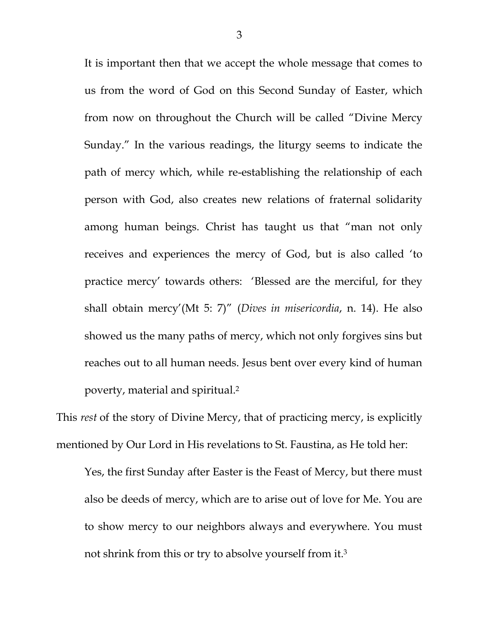It is important then that we accept the whole message that comes to us from the word of God on this Second Sunday of Easter, which from now on throughout the Church will be called "Divine Mercy Sunday." In the various readings, the liturgy seems to indicate the path of mercy which, while re-establishing the relationship of each person with God, also creates new relations of fraternal solidarity among human beings. Christ has taught us that "man not only receives and experiences the mercy of God, but is also called 'to practice mercy' towards others: 'Blessed are the merciful, for they shall obtain mercy'(Mt 5: 7)" (*Dives in misericordia*, n. 14). He also showed us the many paths of mercy, which not only forgives sins but reaches out to all human needs. Jesus bent over every kind of human poverty, material and spiritual. 2

This *rest* of the story of Divine Mercy, that of practicing mercy, is explicitly mentioned by Our Lord in His revelations to St. Faustina, as He told her:

Yes, the first Sunday after Easter is the Feast of Mercy, but there must also be deeds of mercy, which are to arise out of love for Me. You are to show mercy to our neighbors always and everywhere. You must not shrink from this or try to absolve yourself from it.3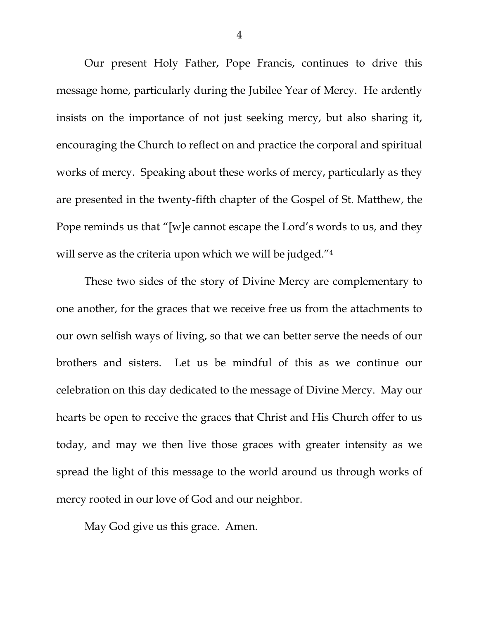Our present Holy Father, Pope Francis, continues to drive this message home, particularly during the Jubilee Year of Mercy. He ardently insists on the importance of not just seeking mercy, but also sharing it, encouraging the Church to reflect on and practice the corporal and spiritual works of mercy. Speaking about these works of mercy, particularly as they are presented in the twenty-fifth chapter of the Gospel of St. Matthew, the Pope reminds us that "[w]e cannot escape the Lord's words to us, and they will serve as the criteria upon which we will be judged."<sup>4</sup>

These two sides of the story of Divine Mercy are complementary to one another, for the graces that we receive free us from the attachments to our own selfish ways of living, so that we can better serve the needs of our brothers and sisters. Let us be mindful of this as we continue our celebration on this day dedicated to the message of Divine Mercy. May our hearts be open to receive the graces that Christ and His Church offer to us today, and may we then live those graces with greater intensity as we spread the light of this message to the world around us through works of mercy rooted in our love of God and our neighbor.

May God give us this grace. Amen.